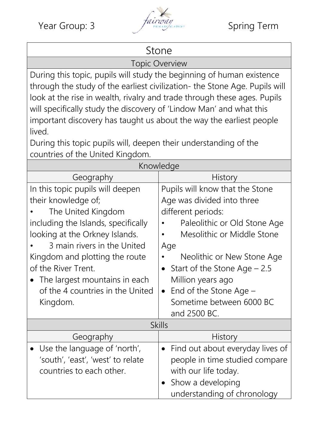

## Stone

Topic Overview

During this topic, pupils will study the beginning of human existence through the study of the earliest civilization- the Stone Age. Pupils will look at the rise in wealth, rivalry and trade through these ages. Pupils will specifically study the discovery of 'Lindow Man' and what this important discovery has taught us about the way the earliest people lived.

During this topic pupils will, deepen their understanding of the countries of the United Kingdom.

| Knowledge                                                                                                                                                                                                                                                                                                                       |                                                                                                                                                                                                                                                                                                                                                |
|---------------------------------------------------------------------------------------------------------------------------------------------------------------------------------------------------------------------------------------------------------------------------------------------------------------------------------|------------------------------------------------------------------------------------------------------------------------------------------------------------------------------------------------------------------------------------------------------------------------------------------------------------------------------------------------|
| Geography                                                                                                                                                                                                                                                                                                                       | History                                                                                                                                                                                                                                                                                                                                        |
| In this topic pupils will deepen<br>their knowledge of;<br>The United Kingdom<br>including the Islands, specifically<br>looking at the Orkney Islands.<br>3 main rivers in the United<br>Kingdom and plotting the route<br>of the River Trent.<br>The largest mountains in each<br>of the 4 countries in the United<br>Kingdom. | Pupils will know that the Stone<br>Age was divided into three<br>different periods:<br>Paleolithic or Old Stone Age<br>Mesolithic or Middle Stone<br>Age<br>Neolithic or New Stone Age<br>Start of the Stone Age $-2.5$<br>$\bullet$<br>Million years ago<br>End of the Stone Age $-$<br>$\bullet$<br>Sometime between 6000 BC<br>and 2500 BC. |
| <b>Skills</b>                                                                                                                                                                                                                                                                                                                   |                                                                                                                                                                                                                                                                                                                                                |
| Geography                                                                                                                                                                                                                                                                                                                       | History                                                                                                                                                                                                                                                                                                                                        |
| Use the language of 'north',<br>'south', 'east', 'west' to relate<br>countries to each other.                                                                                                                                                                                                                                   | Find out about everyday lives of<br>$\bullet$<br>people in time studied compare<br>with our life today.<br>Show a developing<br>understanding of chronology                                                                                                                                                                                    |